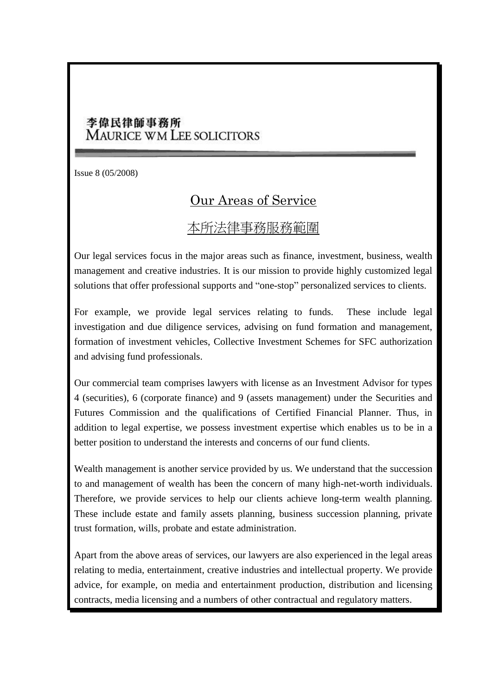## 李偉民律師事務所 MAURICE WM LEE SOLICITORS

Issue 8 (05/2008)

## Our Areas of Service

## 本所法律事務服務範圍

Our legal services focus in the major areas such as finance, investment, business, wealth management and creative industries. It is our mission to provide highly customized legal solutions that offer professional supports and "one-stop" personalized services to clients.

For example, we provide legal services relating to funds. These include legal investigation and due diligence services, advising on fund formation and management, formation of investment vehicles, Collective Investment Schemes for SFC authorization and advising fund professionals.

Our commercial team comprises lawyers with license as an Investment Advisor for types 4 (securities), 6 (corporate finance) and 9 (assets management) under the Securities and Futures Commission and the qualifications of Certified Financial Planner. Thus, in addition to legal expertise, we possess investment expertise which enables us to be in a better position to understand the interests and concerns of our fund clients.

Wealth management is another service provided by us. We understand that the succession to and management of wealth has been the concern of many high-net-worth individuals. Therefore, we provide services to help our clients achieve long-term wealth planning. These include estate and family assets planning, business succession planning, private trust formation, wills, probate and estate administration.

Apart from the above areas of services, our lawyers are also experienced in the legal areas relating to media, entertainment, creative industries and intellectual property. We provide advice, for example, on media and entertainment production, distribution and licensing contracts, media licensing and a numbers of other contractual and regulatory matters.